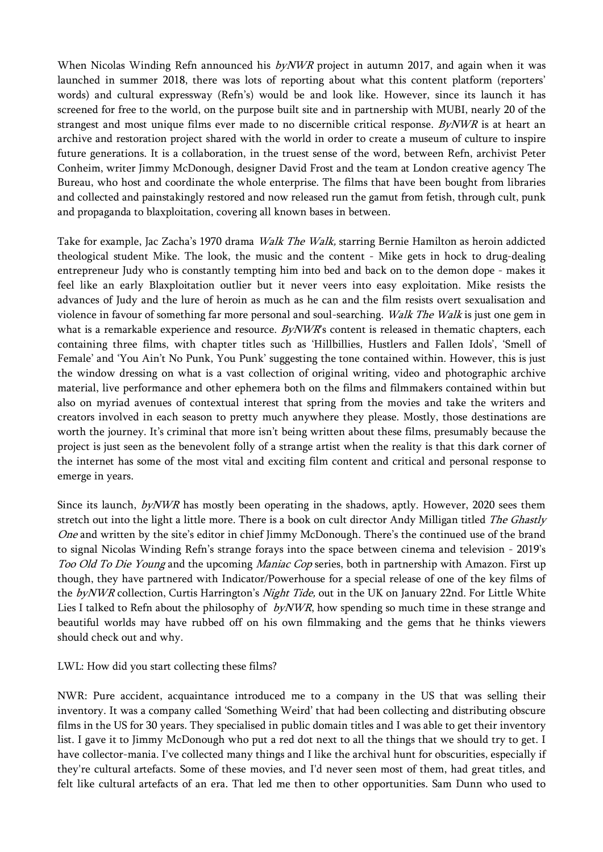When Nicolas Winding Refn announced his  $byNWR$  project in autumn 2017, and again when it was launched in summer 2018, there was lots of reporting about what this content platform (reporters' words) and cultural expressway (Refn's) would be and look like. However, since its launch it has screened for free to the world, on the purpose built site and in partnership with MUBI, nearly 20 of the strangest and most unique films ever made to no discernible critical response.  $B\gamma NWR$  is at heart an archive and restoration project shared with the world in order to create a museum of culture to inspire future generations. It is a collaboration, in the truest sense of the word, between Refn, archivist Peter Conheim, writer Jimmy McDonough, designer David Frost and the team at London creative agency The Bureau, who host and coordinate the whole enterprise. The films that have been bought from libraries and collected and painstakingly restored and now released run the gamut from fetish, through cult, punk and propaganda to blaxploitation, covering all known bases in between.

Take for example, Jac Zacha's 1970 drama *Walk The Walk*, starring Bernie Hamilton as heroin addicted theological student Mike. The look, the music and the content - Mike gets in hock to drug-dealing entrepreneur Judy who is constantly tempting him into bed and back on to the demon dope - makes it feel like an early Blaxploitation outlier but it never veers into easy exploitation. Mike resists the advances of Judy and the lure of heroin as much as he can and the film resists overt sexualisation and violence in favour of something far more personal and soul-searching. Walk The Walk is just one gem in what is a remarkable experience and resource. ByNWR's content is released in thematic chapters, each containing three films, with chapter titles such as 'Hillbillies, Hustlers and Fallen Idols', 'Smell of Female' and 'You Ain't No Punk, You Punk' suggesting the tone contained within. However, this is just the window dressing on what is a vast collection of original writing, video and photographic archive material, live performance and other ephemera both on the films and filmmakers contained within but also on myriad avenues of contextual interest that spring from the movies and take the writers and creators involved in each season to pretty much anywhere they please. Mostly, those destinations are worth the journey. It's criminal that more isn't being written about these films, presumably because the project is just seen as the benevolent folly of a strange artist when the reality is that this dark corner of the internet has some of the most vital and exciting film content and critical and personal response to emerge in years.

Since its launch, byNWR has mostly been operating in the shadows, aptly. However, 2020 sees them stretch out into the light a little more. There is a book on cult director Andy Milligan titled The Ghastly One and written by the site's editor in chief Jimmy McDonough. There's the continued use of the brand to signal Nicolas Winding Refn's strange forays into the space between cinema and television - 2019's Too Old To Die Young and the upcoming Maniac Cop series, both in partnership with Amazon. First up though, they have partnered with Indicator/Powerhouse for a special release of one of the key films of the byNWR collection, Curtis Harrington's Night Tide, out in the UK on January 22nd. For Little White Lies I talked to Refn about the philosophy of  $byNWR$ , how spending so much time in these strange and beautiful worlds may have rubbed off on his own filmmaking and the gems that he thinks viewers should check out and why.

LWL: How did you start collecting these films?

NWR: Pure accident, acquaintance introduced me to a company in the US that was selling their inventory. It was a company called 'Something Weird' that had been collecting and distributing obscure films in the US for 30 years. They specialised in public domain titles and I was able to get their inventory list. I gave it to Jimmy McDonough who put a red dot next to all the things that we should try to get. I have collector-mania. I've collected many things and I like the archival hunt for obscurities, especially if they're cultural artefacts. Some of these movies, and I'd never seen most of them, had great titles, and felt like cultural artefacts of an era. That led me then to other opportunities. Sam Dunn who used to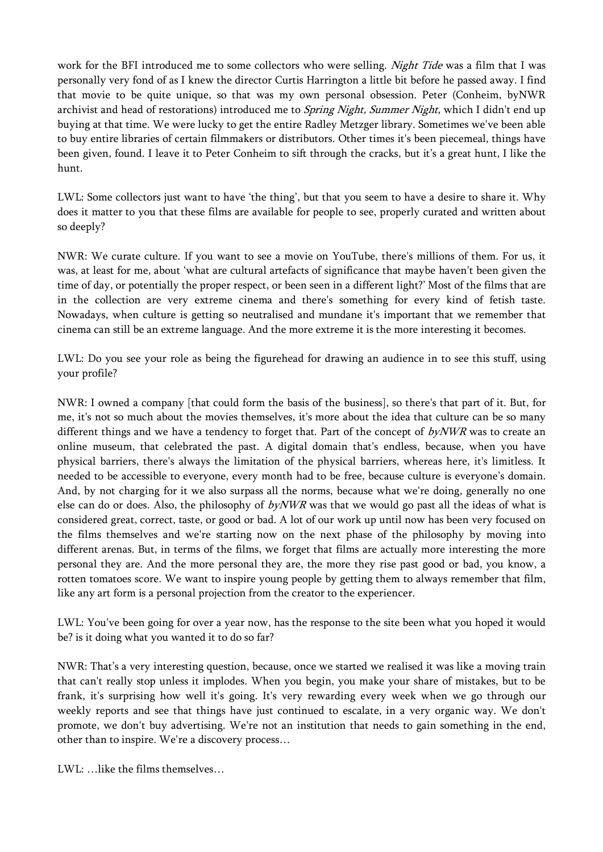work for the BFI introduced me to some collectors who were selling. Night Tide was a film that I was personally very fond of as I knew the director Curtis Harrington a little bit before he passed away. I find that movie to be quite unique, so that was my own personal obsession. Peter (Conheim, byNWR archivist and head of restorations) introduced me to Spring Night, Summer Night, which I didn't end up buying at that time. We were lucky to get the entire Radley Metzger library. Sometimes we've been able to buy entire libraries of certain filmmakers or distributors. Other times it's been piecemeal, things have been given, found. I leave it to Peter Conheim to sift through the cracks, but it's a great hunt, I like the hunt.

LWL: Some collectors just want to have 'the thing', but that you seem to have a desire to share it. Why does it matter to you that these films are available for people to see, properly curated and written about so deeply?

NWR: We curate culture. If you want to see a movie on YouTube, there's millions of them. For us, it was, at least for me, about 'what are cultural artefacts of significance that maybe haven't been given the time of day, or potentially the proper respect, or been seen in a different light?' Most of the films that are in the collection are very extreme cinema and there's something for every kind of fetish taste. Nowadays, when culture is getting so neutralised and mundane it's important that we remember that cinema can still be an extreme language. And the more extreme it is the more interesting it becomes.

LWL: Do you see your role as being the figurehead for drawing an audience in to see this stuff, using your profile?

NWR: I owned a company [that could form the basis of the business], so there's that part of it. But, for me, it's not so much about the movies themselves, it's more about the idea that culture can be so many different things and we have a tendency to forget that. Part of the concept of  $byNWR$  was to create an online museum, that celebrated the past. A digital domain that's endless, because, when you have physical barriers, there's always the limitation of the physical barriers, whereas here, it's limitless. It needed to be accessible to everyone, every month had to be free, because culture is everyone's domain. And, by not charging for it we also surpass all the norms, because what we're doing, generally no one else can do or does. Also, the philosophy of byNWR was that we would go past all the ideas of what is considered great, correct, taste, or good or bad. A lot of our work up until now has been very focused on the films themselves and we're starting now on the next phase of the philosophy by moving into different arenas. But, in terms of the films, we forget that films are actually more interesting the more personal they are. And the more personal they are, the more they rise past good or bad, you know, a rotten tomatoes score. We want to inspire young people by getting them to always remember that film, like any art form is a personal projection from the creator to the experiencer.

LWL: You've been going for over a year now, has the response to the site been what you hoped it would be? is it doing what you wanted it to do so far?

NWR: That's a very interesting question, because, once we started we realised it was like a moving train that can't really stop unless it implodes. When you begin, you make your share of mistakes, but to be frank, it's surprising how well it's going. It's very rewarding every week when we go through our weekly reports and see that things have just continued to escalate, in a very organic way. We don't promote, we don't buy advertising. We're not an institution that needs to gain something in the end, other than to inspire. We're a discovery process…

LWL: …like the films themselves…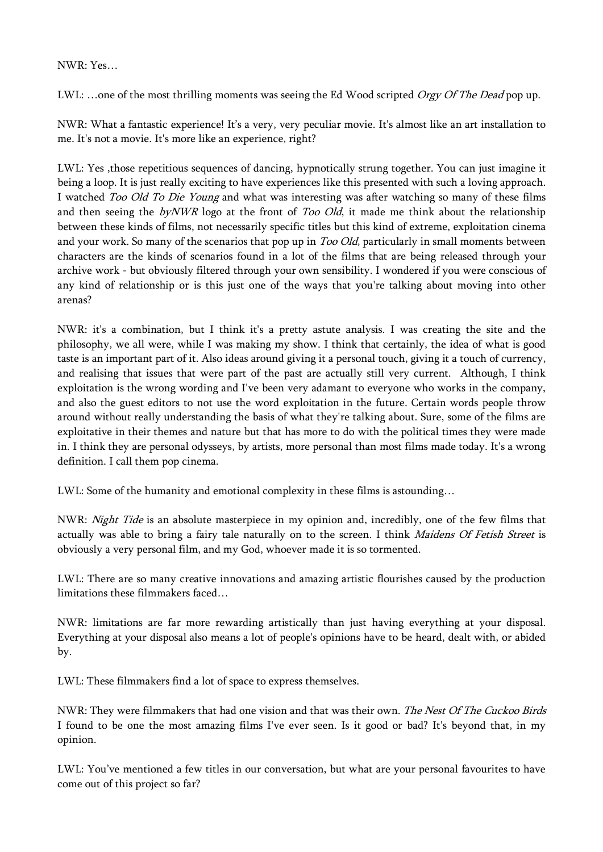## NWR: Yes…

LWL: ...one of the most thrilling moments was seeing the Ed Wood scripted Orgy Of The Dead pop up.

NWR: What a fantastic experience! It's a very, very peculiar movie. It's almost like an art installation to me. It's not a movie. It's more like an experience, right?

LWL: Yes ,those repetitious sequences of dancing, hypnotically strung together. You can just imagine it being a loop. It is just really exciting to have experiences like this presented with such a loving approach. I watched Too Old To Die Young and what was interesting was after watching so many of these films and then seeing the  $byNWR$  logo at the front of *Too Old*, it made me think about the relationship between these kinds of films, not necessarily specific titles but this kind of extreme, exploitation cinema and your work. So many of the scenarios that pop up in *Too Old*, particularly in small moments between characters are the kinds of scenarios found in a lot of the films that are being released through your archive work - but obviously filtered through your own sensibility. I wondered if you were conscious of any kind of relationship or is this just one of the ways that you're talking about moving into other arenas?

NWR: it's a combination, but I think it's a pretty astute analysis. I was creating the site and the philosophy, we all were, while I was making my show. I think that certainly, the idea of what is good taste is an important part of it. Also ideas around giving it a personal touch, giving it a touch of currency, and realising that issues that were part of the past are actually still very current. Although, I think exploitation is the wrong wording and I've been very adamant to everyone who works in the company, and also the guest editors to not use the word exploitation in the future. Certain words people throw around without really understanding the basis of what they're talking about. Sure, some of the films are exploitative in their themes and nature but that has more to do with the political times they were made in. I think they are personal odysseys, by artists, more personal than most films made today. It's a wrong definition. I call them pop cinema.

LWL: Some of the humanity and emotional complexity in these films is astounding…

NWR: Night Tide is an absolute masterpiece in my opinion and, incredibly, one of the few films that actually was able to bring a fairy tale naturally on to the screen. I think *Maidens Of Fetish Street* is obviously a very personal film, and my God, whoever made it is so tormented.

LWL: There are so many creative innovations and amazing artistic flourishes caused by the production limitations these filmmakers faced…

NWR: limitations are far more rewarding artistically than just having everything at your disposal. Everything at your disposal also means a lot of people's opinions have to be heard, dealt with, or abided by.

LWL: These filmmakers find a lot of space to express themselves.

NWR: They were filmmakers that had one vision and that was their own. The Nest Of The Cuckoo Birds I found to be one the most amazing films I've ever seen. Is it good or bad? It's beyond that, in my opinion.

LWL: You've mentioned a few titles in our conversation, but what are your personal favourites to have come out of this project so far?